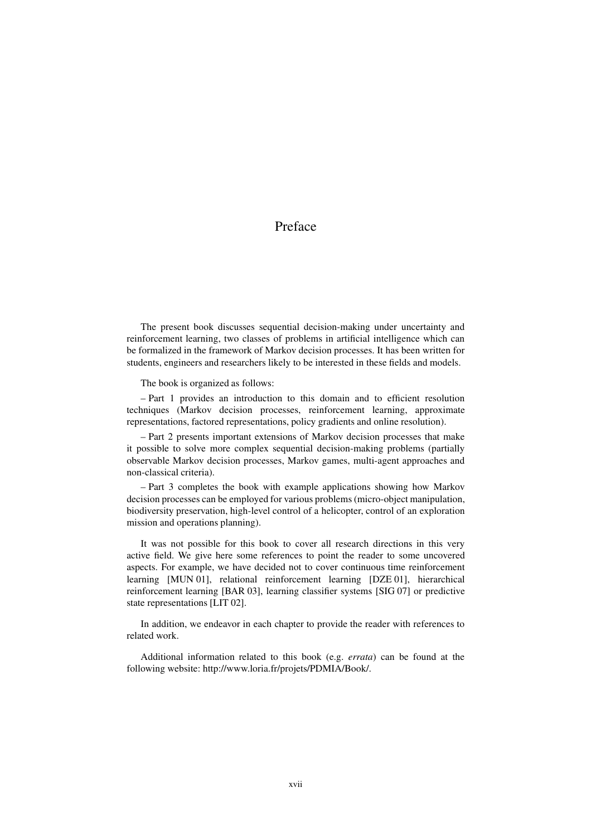## Preface

The present book discusses sequential decision-making under uncertainty and reinforcement learning, two classes of problems in artificial intelligence which can be formalized in the framework of Markov decision processes. It has been written for students, engineers and researchers likely to be interested in these fields and models.

The book is organized as follows:

– Part 1 provides an introduction to this domain and to efficient resolution techniques (Markov decision processes, reinforcement learning, approximate representations, factored representations, policy gradients and online resolution).

– Part 2 presents important extensions of Markov decision processes that make it possible to solve more complex sequential decision-making problems (partially observable Markov decision processes, Markov games, multi-agent approaches and non-classical criteria).

– Part 3 completes the book with example applications showing how Markov decision processes can be employed for various problems (micro-object manipulation, biodiversity preservation, high-level control of a helicopter, control of an exploration mission and operations planning).

It was not possible for this book to cover all research directions in this very active field. We give here some references to point the reader to some uncovered aspects. For example, we have decided not to cover continuous time reinforcement learning [MUN 01], relational reinforcement learning [DZE 01], hierarchical reinforcement learning [BAR 03], learning classifier systems [SIG 07] or predictive state representations [LIT 02].

In addition, we endeavor in each chapter to provide the reader with references to related work.

Additional information related to this book (e.g. *errata*) can be found at the following website: http://www.loria.fr/projets/PDMIA/Book/.